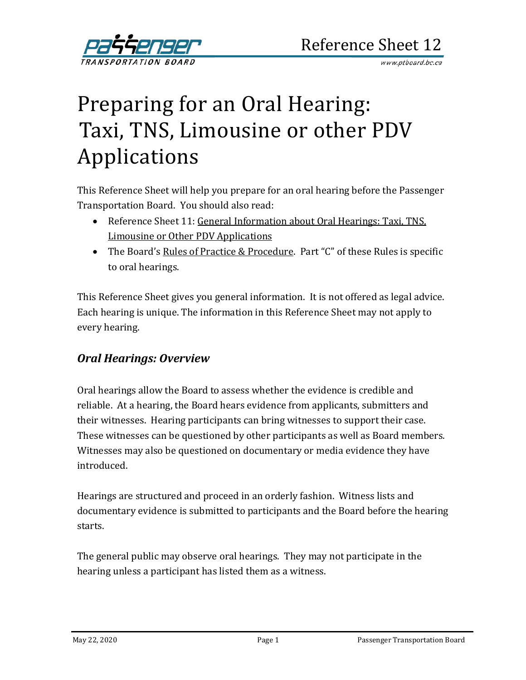

# Preparing for an Oral Hearing: Taxi, TNS, Limousine or other PDV Applications

This Reference Sheet will help you prepare for an oral hearing before the Passenger Transportation Board. You should also read:

- Reference Sheet 11: [General Information about Oral Hearings:](http://www.th.gov.bc.ca/forms/getForm.aspx?formId=1203) Taxi, TNS, Limousine or Other PDV Applications
- The Board's [Rules of Practice &](http://www.ptboard.bc.ca/legislation.htm) Procedure. Part "C" of these Rules is specific to oral hearings.

This Reference Sheet gives you general information. It is not offered as legal advice. Each hearing is unique. The information in this Reference Sheet may not apply to every hearing.

# *Oral Hearings: Overview*

Oral hearings allow the Board to assess whether the evidence is credible and reliable. At a hearing, the Board hears evidence from applicants, submitters and their witnesses. Hearing participants can bring witnesses to support their case. These witnesses can be questioned by other participants as well as Board members. Witnesses may also be questioned on documentary or media evidence they have introduced.

Hearings are structured and proceed in an orderly fashion. Witness lists and documentary evidence is submitted to participants and the Board before the hearing starts.

The general public may observe oral hearings. They may not participate in the hearing unless a participant has listed them as a witness.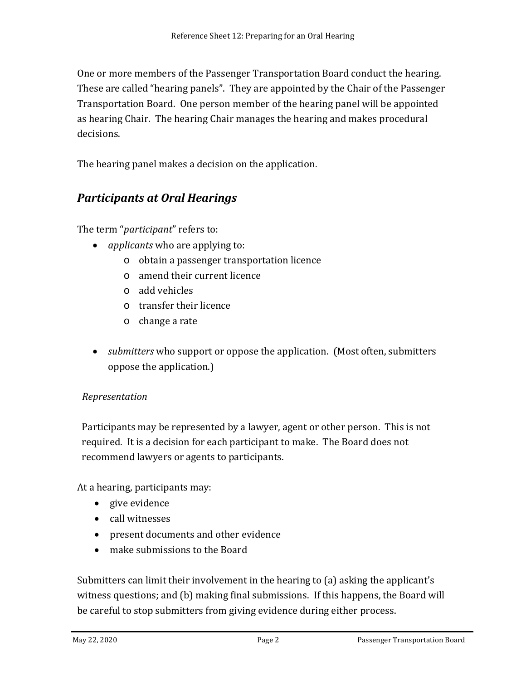One or more members of the Passenger Transportation Board conduct the hearing. These are called "hearing panels". They are appointed by the Chair of the Passenger Transportation Board. One person member of the hearing panel will be appointed as hearing Chair. The hearing Chair manages the hearing and makes procedural decisions.

The hearing panel makes a decision on the application.

# *Participants at Oral Hearings*

The term "*participant*" refers to:

- *applicants* who are applying to:
	- o obtain a passenger transportation licence
	- o amend their current licence
	- o add vehicles
	- o transfer their licence
	- o change a rate
- *submitters* who support or oppose the application. (Most often, submitters oppose the application.)

## *Representation*

Participants may be represented by a lawyer, agent or other person. This is not required. It is a decision for each participant to make. The Board does not recommend lawyers or agents to participants.

At a hearing, participants may:

- give evidence
- call witnesses
- present documents and other evidence
- make submissions to the Board

Submitters can limit their involvement in the hearing to (a) asking the applicant's witness questions; and (b) making final submissions. If this happens, the Board will be careful to stop submitters from giving evidence during either process.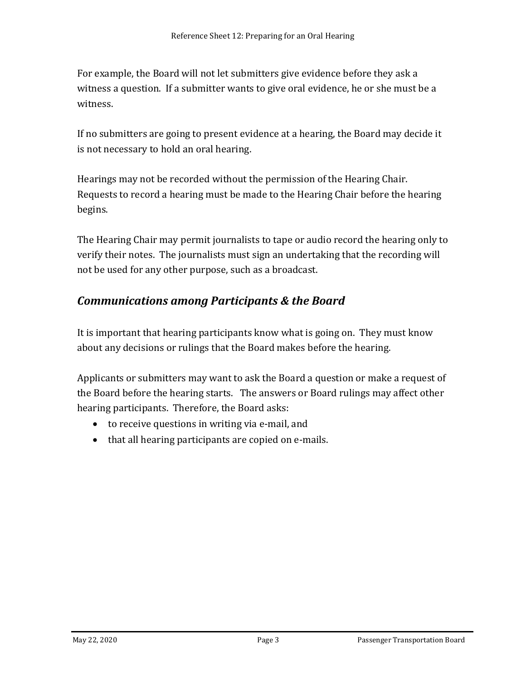For example, the Board will not let submitters give evidence before they ask a witness a question. If a submitter wants to give oral evidence, he or she must be a witness.

If no submitters are going to present evidence at a hearing, the Board may decide it is not necessary to hold an oral hearing.

Hearings may not be recorded without the permission of the Hearing Chair. Requests to record a hearing must be made to the Hearing Chair before the hearing begins.

The Hearing Chair may permit journalists to tape or audio record the hearing only to verify their notes. The journalists must sign an undertaking that the recording will not be used for any other purpose, such as a broadcast.

# *Communications among Participants & the Board*

It is important that hearing participants know what is going on. They must know about any decisions or rulings that the Board makes before the hearing.

Applicants or submitters may want to ask the Board a question or make a request of the Board before the hearing starts. The answers or Board rulings may affect other hearing participants. Therefore, the Board asks:

- to receive questions in writing via e-mail, and
- that all hearing participants are copied on e-mails.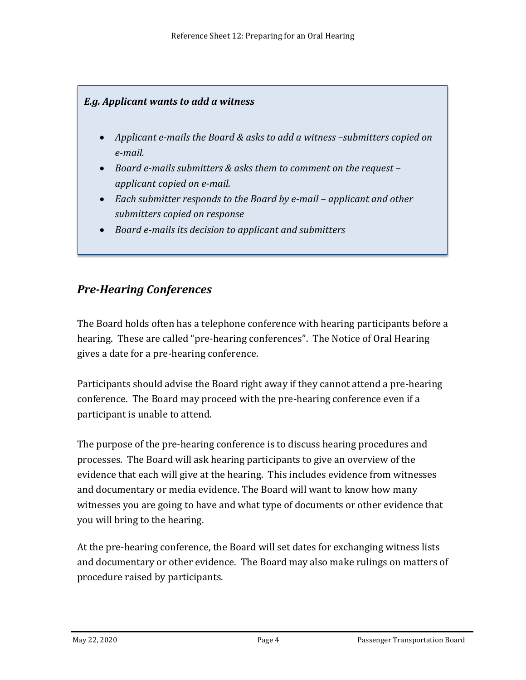# *E.g. Applicant wants to add a witness*

- *Applicant e-mails the Board & asks to add a witness –submitters copied on e-mail.*
- *Board e-mails submitters & asks them to comment on the request – applicant copied on e-mail.*
- *Each submitter responds to the Board by e-mail – applicant and other submitters copied on response*
- *Board e-mails its decision to applicant and submitters*

# *Pre-Hearing Conferences*

The Board holds often has a telephone conference with hearing participants before a hearing. These are called "pre-hearing conferences". The Notice of Oral Hearing gives a date for a pre-hearing conference.

Participants should advise the Board right away if they cannot attend a pre-hearing conference. The Board may proceed with the pre-hearing conference even if a participant is unable to attend.

The purpose of the pre-hearing conference is to discuss hearing procedures and processes. The Board will ask hearing participants to give an overview of the evidence that each will give at the hearing. This includes evidence from witnesses and documentary or media evidence. The Board will want to know how many witnesses you are going to have and what type of documents or other evidence that you will bring to the hearing.

At the pre-hearing conference, the Board will set dates for exchanging witness lists and documentary or other evidence. The Board may also make rulings on matters of procedure raised by participants.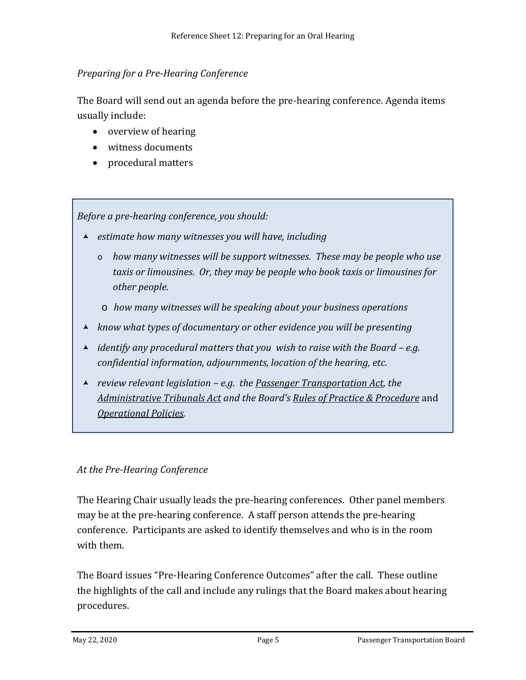## *Preparing for a Pre-Hearing Conference*

The Board will send out an agenda before the pre-hearing conference. Agenda items usually include:

- overview of hearing
- witness documents
- procedural matters

*Before a pre-hearing conference, you should:* 

- *estimate how many witnesses you will have, including*
	- o *how many witnesses will be support witnesses. These may be people who use taxis or limousines. Or, they may be people who book taxis or limousines for other people.*
	- o *how many witnesses will be speaking about your business operations*
- *know what types of documentary or other evidence you will be presenting*
- *identify any procedural matters that you wish to raise with the Board – e.g. confidential information, adjournments, location of the hearing, etc.*
- *review relevant legislation – e.g. the [Passenger Transportation Act,](http://www.bclaws.ca/EPLibraries/bclaws_new/document/ID/freeside/00_04039_01) the [Administrative Tribunals Act](http://www.bclaws.ca/EPLibraries/bclaws_new/document/ID/freeside/00_04045_01) and the Board's [Rules of Practice &](http://www.ptboard.bc.ca/practice_procedure.htm) Procedure* and *[Operational Policies.](http://www.ptboard.bc.ca/operational_policies.htm)*

#### *At the Pre-Hearing Conference*

The Hearing Chair usually leads the pre-hearing conferences. Other panel members may be at the pre-hearing conference. A staff person attends the pre-hearing conference. Participants are asked to identify themselves and who is in the room with them.

The Board issues "Pre-Hearing Conference Outcomes" after the call. These outline the highlights of the call and include any rulings that the Board makes about hearing procedures.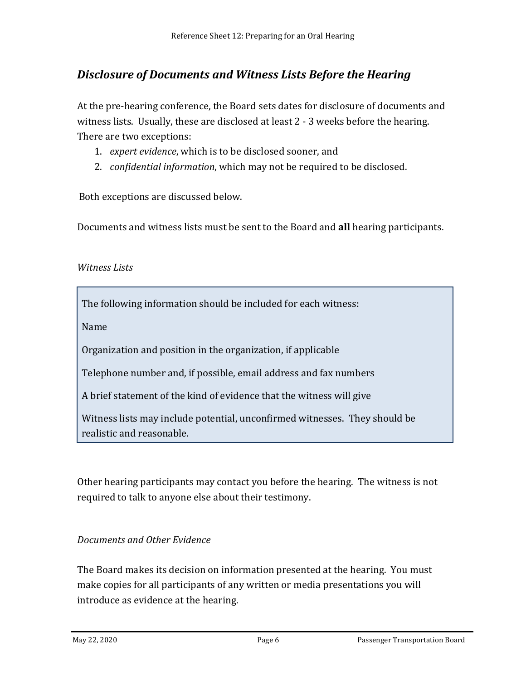# *Disclosure of Documents and Witness Lists Before the Hearing*

At the pre-hearing conference, the Board sets dates for disclosure of documents and witness lists. Usually, these are disclosed at least 2 - 3 weeks before the hearing. There are two exceptions:

- 1. *expert evidence*, which is to be disclosed sooner, and
- 2. *confidential information*, which may not be required to be disclosed.

Both exceptions are discussed below.

Documents and witness lists must be sent to the Board and **all** hearing participants.

## *Witness Lists*

The following information should be included for each witness:

Name

Organization and position in the organization, if applicable

Telephone number and, if possible, email address and fax numbers

A brief statement of the kind of evidence that the witness will give

Witness lists may include potential, unconfirmed witnesses. They should be realistic and reasonable.

Other hearing participants may contact you before the hearing. The witness is not required to talk to anyone else about their testimony.

## *Documents and Other Evidence*

The Board makes its decision on information presented at the hearing. You must make copies for all participants of any written or media presentations you will introduce as evidence at the hearing.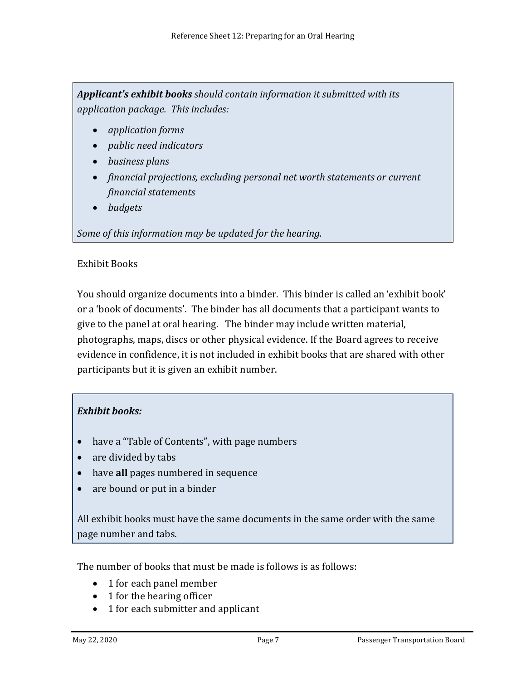*Applicant's exhibit books should contain information it submitted with its application package. This includes:*

- *application forms*
- *public need indicators*
- *business plans*
- *financial projections, excluding personal net worth statements or current financial statements*
- *budgets*

## *Some of this information may be updated for the hearing.*

## Exhibit Books

You should organize documents into a binder. This binder is called an 'exhibit book' or a 'book of documents'. The binder has all documents that a participant wants to give to the panel at oral hearing. The binder may include written material, photographs, maps, discs or other physical evidence. If the Board agrees to receive evidence in confidence, it is not included in exhibit books that are shared with other participants but it is given an exhibit number.

## *Exhibit books:*

- have a "Table of Contents", with page numbers
- are divided by tabs
- have **all** pages numbered in sequence
- are bound or put in a binder

All exhibit books must have the same documents in the same order with the same page number and tabs.

The number of books that must be made is follows is as follows:

- 1 for each panel member
- 1 for the hearing officer
- 1 for each submitter and applicant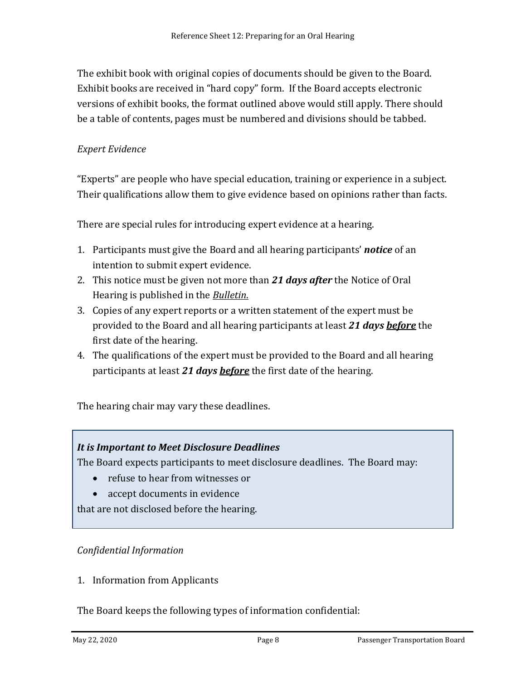The exhibit book with original copies of documents should be given to the Board. Exhibit books are received in "hard copy" form. If the Board accepts electronic versions of exhibit books, the format outlined above would still apply. There should be a table of contents, pages must be numbered and divisions should be tabbed.

## *Expert Evidence*

"Experts" are people who have special education, training or experience in a subject. Their qualifications allow them to give evidence based on opinions rather than facts.

There are special rules for introducing expert evidence at a hearing.

- 1. Participants must give the Board and all hearing participants' *notice* of an intention to submit expert evidence.
- 2. This notice must be given not more than *21 days after* the Notice of Oral Hearing is published in the *[Bulletin](http://www.th.gov.bc.ca/ptb/bulletins.htm)*.
- 3. Copies of any expert reports or a written statement of the expert must be provided to the Board and all hearing participants at least *21 days before* the first date of the hearing.
- 4. The qualifications of the expert must be provided to the Board and all hearing participants at least *21 days before* the first date of the hearing.

The hearing chair may vary these deadlines.

#### *It is Important to Meet Disclosure Deadlines*

The Board expects participants to meet disclosure deadlines. The Board may:

- refuse to hear from witnesses or
- accept documents in evidence

that are not disclosed before the hearing.

#### *Confidential Information*

1. Information from Applicants

The Board keeps the following types of information confidential: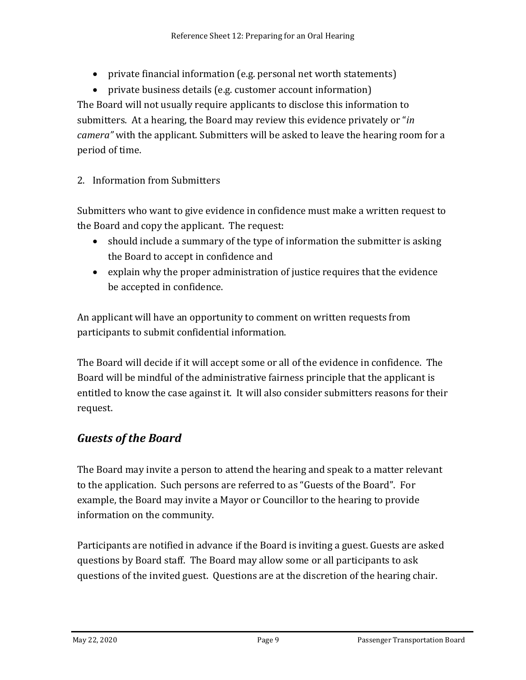• private financial information (e.g. personal net worth statements)

• private business details (e.g. customer account information) The Board will not usually require applicants to disclose this information to submitters. At a hearing, the Board may review this evidence privately or "*in camera"* with the applicant*.* Submitters will be asked to leave the hearing room for a period of time.

2. Information from Submitters

Submitters who want to give evidence in confidence must make a written request to the Board and copy the applicant. The request:

- should include a summary of the type of information the submitter is asking the Board to accept in confidence and
- explain why the proper administration of justice requires that the evidence be accepted in confidence.

An applicant will have an opportunity to comment on written requests from participants to submit confidential information.

The Board will decide if it will accept some or all of the evidence in confidence. The Board will be mindful of the administrative fairness principle that the applicant is entitled to know the case against it. It will also consider submitters reasons for their request.

# *Guests of the Board*

The Board may invite a person to attend the hearing and speak to a matter relevant to the application. Such persons are referred to as "Guests of the Board". For example, the Board may invite a Mayor or Councillor to the hearing to provide information on the community.

Participants are notified in advance if the Board is inviting a guest. Guests are asked questions by Board staff. The Board may allow some or all participants to ask questions of the invited guest. Questions are at the discretion of the hearing chair.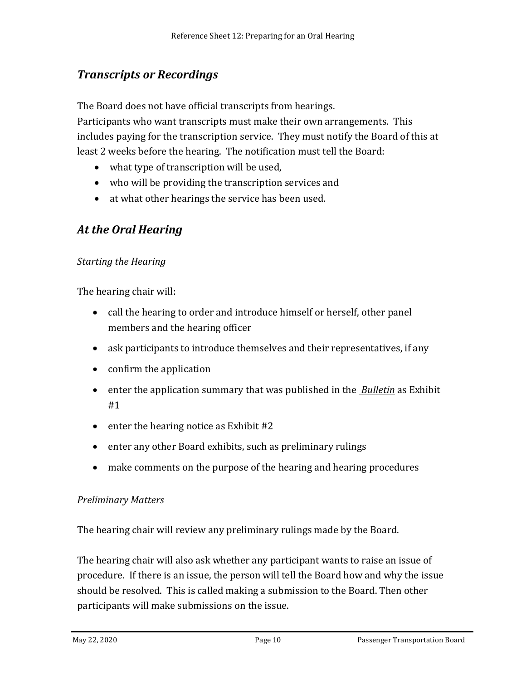# *Transcripts or Recordings*

The Board does not have official transcripts from hearings.

Participants who want transcripts must make their own arrangements. This includes paying for the transcription service. They must notify the Board of this at least 2 weeks before the hearing. The notification must tell the Board:

- what type of transcription will be used,
- who will be providing the transcription services and
- at what other hearings the service has been used.

# *At the Oral Hearing*

## *Starting the Hearing*

The hearing chair will:

- call the hearing to order and introduce himself or herself, other panel members and the hearing officer
- ask participants to introduce themselves and their representatives, if any
- confirm the application
- enter the application summary that was published in the *[Bulletin](http://www.th.gov.bc.ca/ptb/bulletins.htm)* as Exhibit #1
- enter the hearing notice as Exhibit #2
- enter any other Board exhibits, such as preliminary rulings
- make comments on the purpose of the hearing and hearing procedures

#### *Preliminary Matters*

The hearing chair will review any preliminary rulings made by the Board.

The hearing chair will also ask whether any participant wants to raise an issue of procedure. If there is an issue, the person will tell the Board how and why the issue should be resolved. This is called making a submission to the Board. Then other participants will make submissions on the issue.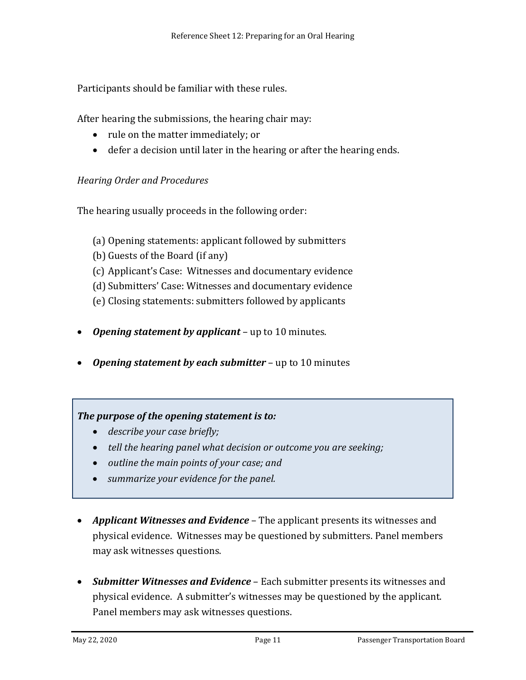Participants should be familiar with these rules.

After hearing the submissions, the hearing chair may:

- rule on the matter immediately; or
- defer a decision until later in the hearing or after the hearing ends.

## *Hearing Order and Procedures*

The hearing usually proceeds in the following order:

- (a) Opening statements: applicant followed by submitters
- (b) Guests of the Board (if any)
- (c) Applicant's Case: Witnesses and documentary evidence
- (d) Submitters' Case: Witnesses and documentary evidence
- (e) Closing statements: submitters followed by applicants
- *Opening statement by applicant* up to 10 minutes.
- *Opening statement by each submitter* up to 10 minutes

## *The purpose of the opening statement is to:*

- *describe your case briefly;*
- *tell the hearing panel what decision or outcome you are seeking;*
- *outline the main points of your case; and*
- *summarize your evidence for the panel.*
- *Applicant Witnesses and Evidence* The applicant presents its witnesses and physical evidence. Witnesses may be questioned by submitters. Panel members may ask witnesses questions.
- *Submitter Witnesses and Evidence* Each submitter presents its witnesses and physical evidence. A submitter's witnesses may be questioned by the applicant. Panel members may ask witnesses questions.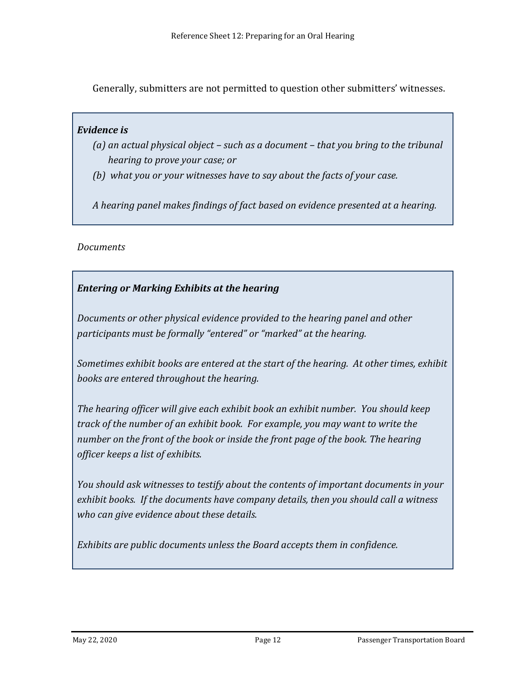Generally, submitters are not permitted to question other submitters' witnesses.

#### *Evidence is*

- *(a) an actual physical object – such as a document – that you bring to the tribunal hearing to prove your case; or*
- *(b) what you or your witnesses have to say about the facts of your case.*

*A hearing panel makes findings of fact based on evidence presented at a hearing.* 

## *Documents*

# *Entering or Marking Exhibits at the hearing*

*Documents or other physical evidence provided to the hearing panel and other participants must be formally "entered" or "marked" at the hearing.* 

*Sometimes exhibit books are entered at the start of the hearing. At other times, exhibit books are entered throughout the hearing.* 

*The hearing officer will give each exhibit book an exhibit number. You should keep track of the number of an exhibit book. For example, you may want to write the*  number on the front of the book or inside the front page of the book. The hearing *officer keeps a list of exhibits.*

*You should ask witnesses to testify about the contents of important documents in your exhibit books. If the documents have company details, then you should call a witness who can give evidence about these details.* 

*Exhibits are public documents unless the Board accepts them in confidence.*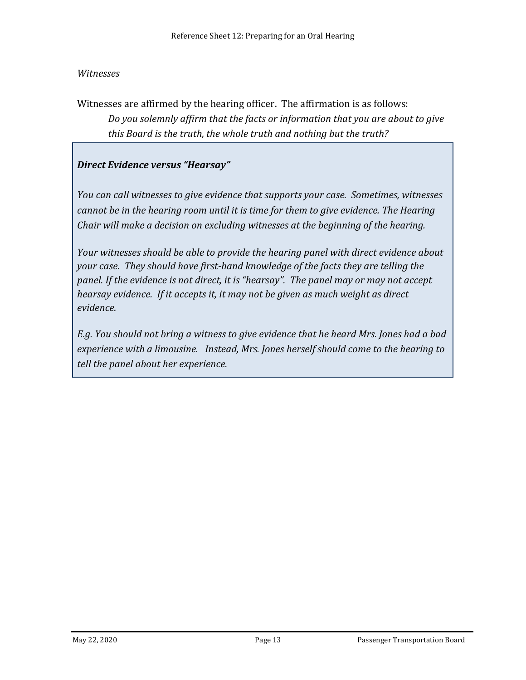#### *Witnesses*

Witnesses are affirmed by the hearing officer. The affirmation is as follows: *Do you solemnly affirm that the facts or information that you are about to give this Board is the truth, the whole truth and nothing but the truth?*

## *Direct Evidence versus "Hearsay"*

*You can call witnesses to give evidence that supports your case. Sometimes, witnesses cannot be in the hearing room until it is time for them to give evidence. The Hearing Chair will make a decision on excluding witnesses at the beginning of the hearing.*

*Your witnesses should be able to provide the hearing panel with direct evidence about your case. They should have first-hand knowledge of the facts they are telling the panel. If the evidence is not direct, it is "hearsay". The panel may or may not accept hearsay evidence. If it accepts it, it may not be given as much weight as direct evidence.* 

*E.g. You should not bring a witness to give evidence that he heard Mrs. Jones had a bad experience with a limousine. Instead, Mrs. Jones herself should come to the hearing to tell the panel about her experience.*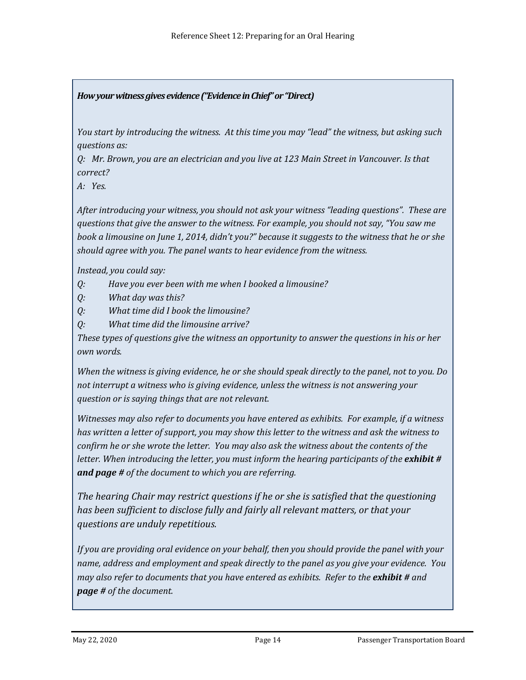#### *How your witness gives evidence ("Evidence in Chief" or "Direct)*

*You start by introducing the witness. At this time you may "lead" the witness, but asking such questions as:* 

*Q: Mr. Brown, you are an electrician and you live at 123 Main Street in Vancouver. Is that correct?*

*A: Yes.*

*After introducing your witness, you should not ask your witness "leading questions". These are questions that give the answer to the witness. For example, you should not say, "You saw me book a limousine on June 1, 2014, didn't you?" because it suggests to the witness that he or she should agree with you. The panel wants to hear evidence from the witness.*

*Instead, you could say:*

- *Q: Have you ever been with me when I booked a limousine?*
- *Q: What day was this?*
- *Q: What time did I book the limousine?*
- *Q: What time did the limousine arrive?*

*These types of questions give the witness an opportunity to answer the questions in his or her own words.* 

*When the witness is giving evidence, he or she should speak directly to the panel, not to you. Do not interrupt a witness who is giving evidence, unless the witness is not answering your question or is saying things that are not relevant.* 

*Witnesses may also refer to documents you have entered as exhibits. For example, if a witness has written a letter of support, you may show this letter to the witness and ask the witness to confirm he or she wrote the letter. You may also ask the witness about the contents of the letter. When introducing the letter, you must inform the hearing participants of the exhibit # and page # of the document to which you are referring.*

*The hearing Chair may restrict questions if he or she is satisfied that the questioning has been sufficient to disclose fully and fairly all relevant matters, or that your questions are unduly repetitious.*

*If you are providing oral evidence on your behalf, then you should provide the panel with your name, address and employment and speak directly to the panel as you give your evidence. You may also refer to documents that you have entered as exhibits. Refer to the exhibit # and page # of the document.*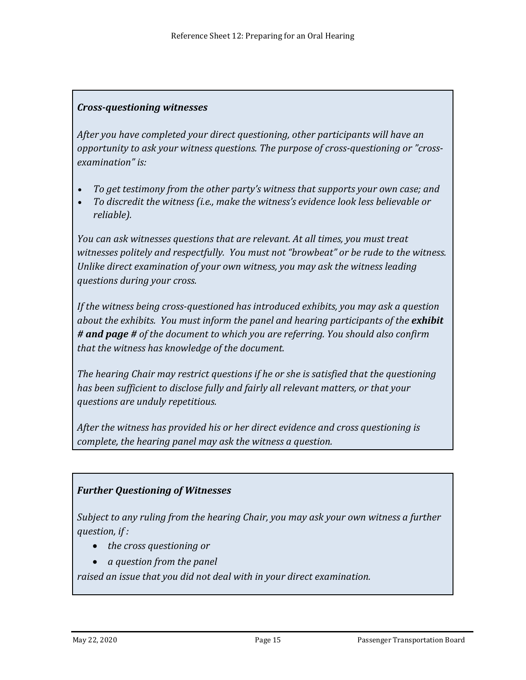## *Cross-questioning witnesses*

*After you have completed your direct questioning, other participants will have an opportunity to ask your witness questions. The purpose of cross-questioning or "crossexamination" is:*

- *To get testimony from the other party's witness that supports your own case; and*
- *To discredit the witness (i.e., make the witness's evidence look less believable or reliable).*

*You can ask witnesses questions that are relevant. At all times, you must treat witnesses politely and respectfully. You must not "browbeat" or be rude to the witness. Unlike direct examination of your own witness, you may ask the witness leading questions during your cross.* 

*If the witness being cross-questioned has introduced exhibits, you may ask a question about the exhibits. You must inform the panel and hearing participants of the exhibit # and page # of the document to which you are referring. You should also confirm that the witness has knowledge of the document.*

*The hearing Chair may restrict questions if he or she is satisfied that the questioning has been sufficient to disclose fully and fairly all relevant matters, or that your questions are unduly repetitious.*

*After the witness has provided his or her direct evidence and cross questioning is complete, the hearing panel may ask the witness a question.*

## *Further Questioning of Witnesses*

*Subject to any ruling from the hearing Chair, you may ask your own witness a further question, if :*

- *the cross questioning or*
- *a question from the panel*

*raised an issue that you did not deal with in your direct examination.*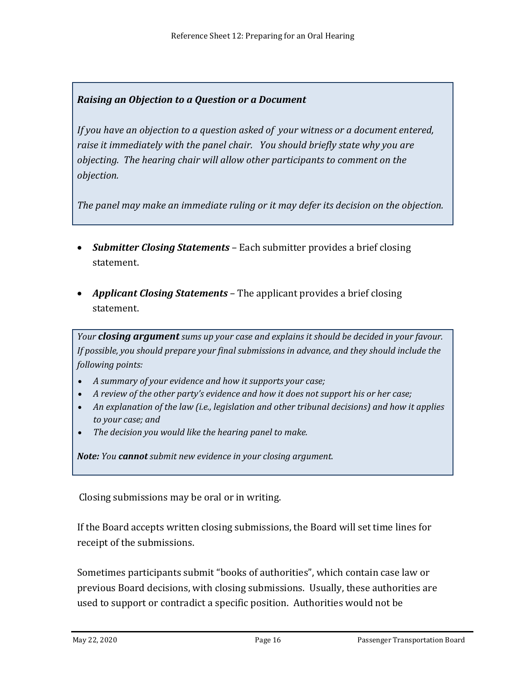# *Raising an Objection to a Question or a Document*

*If you have an objection to a question asked of your witness or a document entered, raise it immediately with the panel chair. You should briefly state why you are objecting. The hearing chair will allow other participants to comment on the objection.*

*The panel may make an immediate ruling or it may defer its decision on the objection.* 

- *Submitter Closing Statements* Each submitter provides a brief closing statement.
- *Applicant Closing Statements* The applicant provides a brief closing statement.

*Your closing argument sums up your case and explains it should be decided in your favour. If possible, you should prepare your final submissions in advance, and they should include the following points:*

- *A summary of your evidence and how it supports your case;*
- *A review of the other party's evidence and how it does not support his or her case;*
- *An explanation of the law (i.e., legislation and other tribunal decisions) and how it applies to your case; and*
- *The decision you would like the hearing panel to make.*

*Note: You cannot submit new evidence in your closing argument.* 

Closing submissions may be oral or in writing.

If the Board accepts written closing submissions, the Board will set time lines for receipt of the submissions.

Sometimes participants submit "books of authorities", which contain case law or previous Board decisions, with closing submissions. Usually, these authorities are used to support or contradict a specific position. Authorities would not be